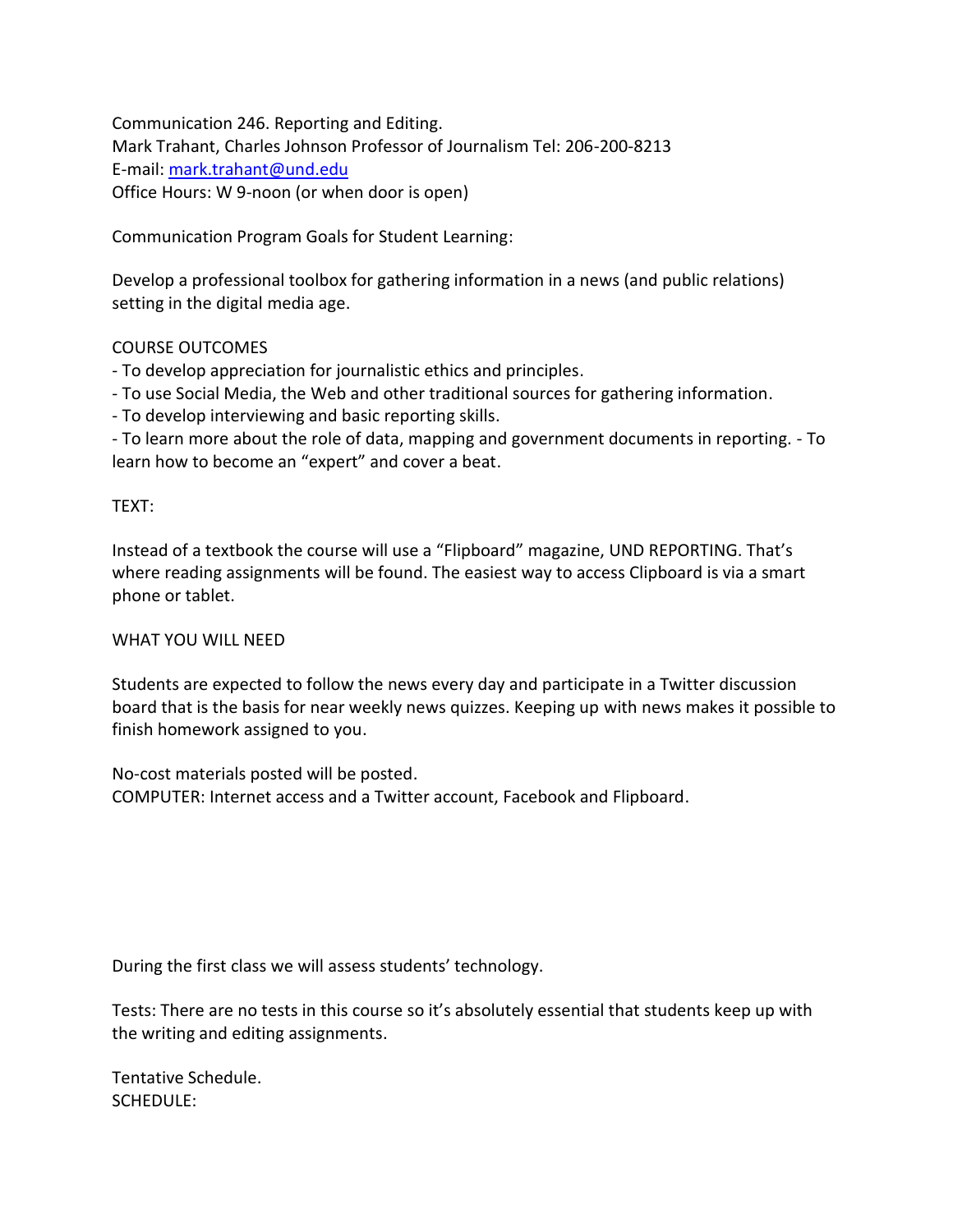Communication 246. Reporting and Editing. Mark Trahant, Charles Johnson Professor of Journalism Tel: 206-200-8213 E-mail: [mark.trahant@und.edu](mailto:mark.trahant@und.edu) Office Hours: W 9-noon (or when door is open)

Communication Program Goals for Student Learning:

Develop a professional toolbox for gathering information in a news (and public relations) setting in the digital media age.

## COURSE OUTCOMES

- To develop appreciation for journalistic ethics and principles.

- To use Social Media, the Web and other traditional sources for gathering information.

- To develop interviewing and basic reporting skills.

- To learn more about the role of data, mapping and government documents in reporting. - To learn how to become an "expert" and cover a beat.

## TEXT:

Instead of a textbook the course will use a "Flipboard" magazine, UND REPORTING. That's where reading assignments will be found. The easiest way to access Clipboard is via a smart phone or tablet.

## WHAT YOU WILL NEED

Students are expected to follow the news every day and participate in a Twitter discussion board that is the basis for near weekly news quizzes. Keeping up with news makes it possible to finish homework assigned to you.

No-cost materials posted will be posted. COMPUTER: Internet access and a Twitter account, Facebook and Flipboard.

During the first class we will assess students' technology.

Tests: There are no tests in this course so it's absolutely essential that students keep up with the writing and editing assignments.

Tentative Schedule. SCHEDULE: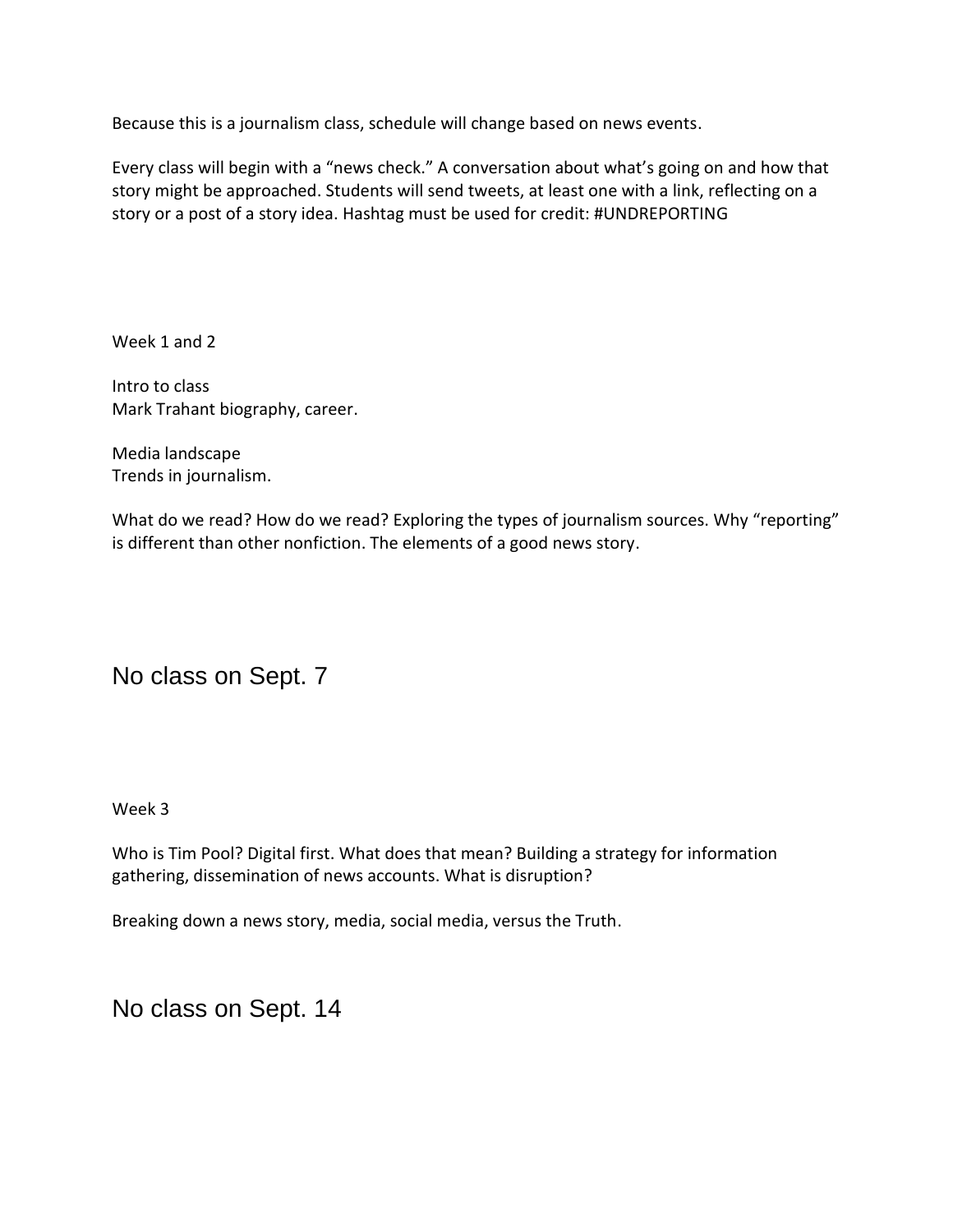Because this is a journalism class, schedule will change based on news events.

Every class will begin with a "news check." A conversation about what's going on and how that story might be approached. Students will send tweets, at least one with a link, reflecting on a story or a post of a story idea. Hashtag must be used for credit: #UNDREPORTING

Week 1 and 2

Intro to class Mark Trahant biography, career.

Media landscape Trends in journalism.

What do we read? How do we read? Exploring the types of journalism sources. Why "reporting" is different than other nonfiction. The elements of a good news story.

No class on Sept. 7

Week 3

Who is Tim Pool? Digital first. What does that mean? Building a strategy for information gathering, dissemination of news accounts. What is disruption?

Breaking down a news story, media, social media, versus the Truth.

No class on Sept. 14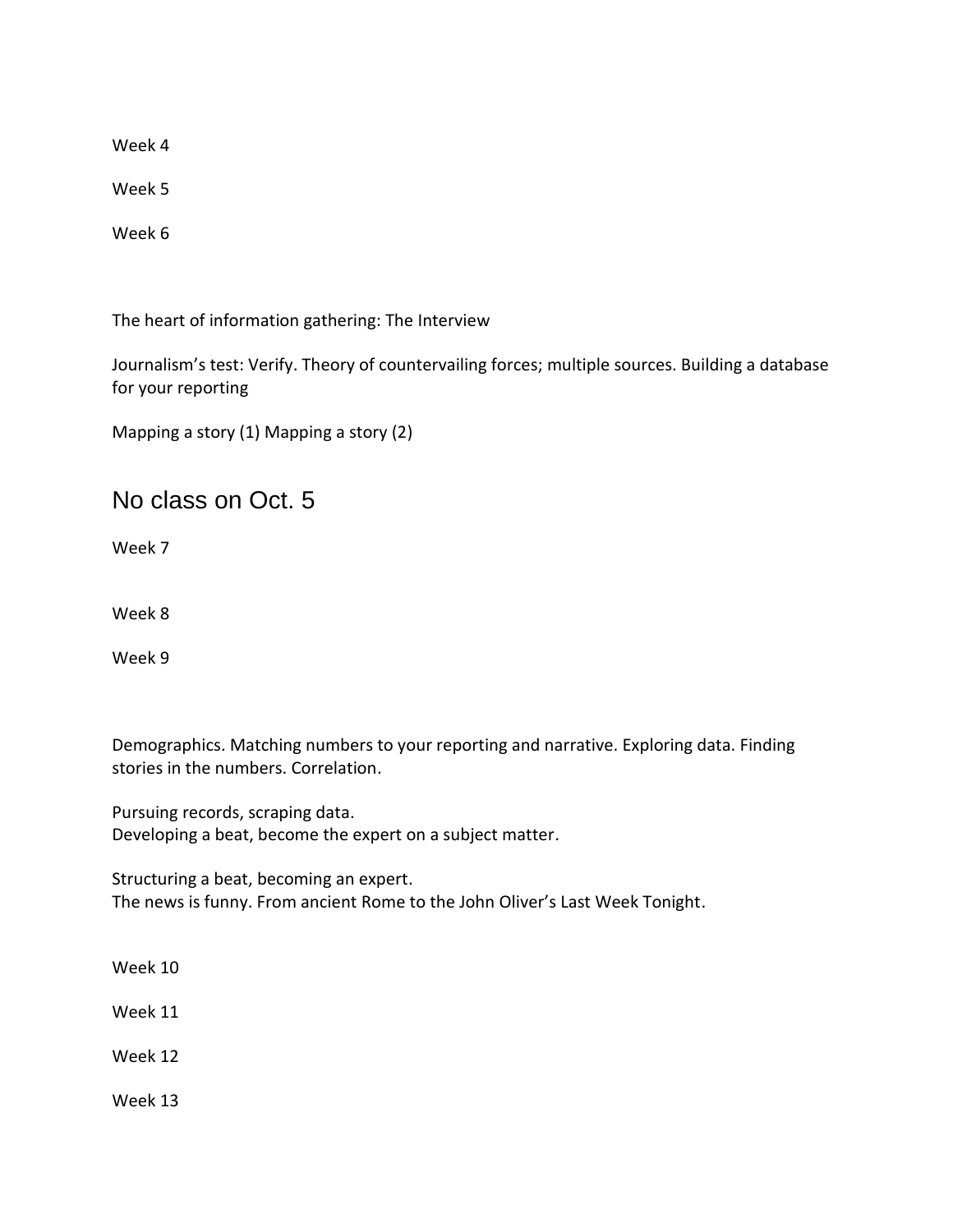Week 4

Week 5

Week 6

The heart of information gathering: The Interview

Journalism's test: Verify. Theory of countervailing forces; multiple sources. Building a database for your reporting

Mapping a story (1) Mapping a story (2)

No class on Oct. 5

Week 7

Week 8

Week 9

Demographics. Matching numbers to your reporting and narrative. Exploring data. Finding stories in the numbers. Correlation.

Pursuing records, scraping data. Developing a beat, become the expert on a subject matter.

Structuring a beat, becoming an expert. The news is funny. From ancient Rome to the John Oliver's Last Week Tonight.

Week 10

Week 11

Week 12

Week 13